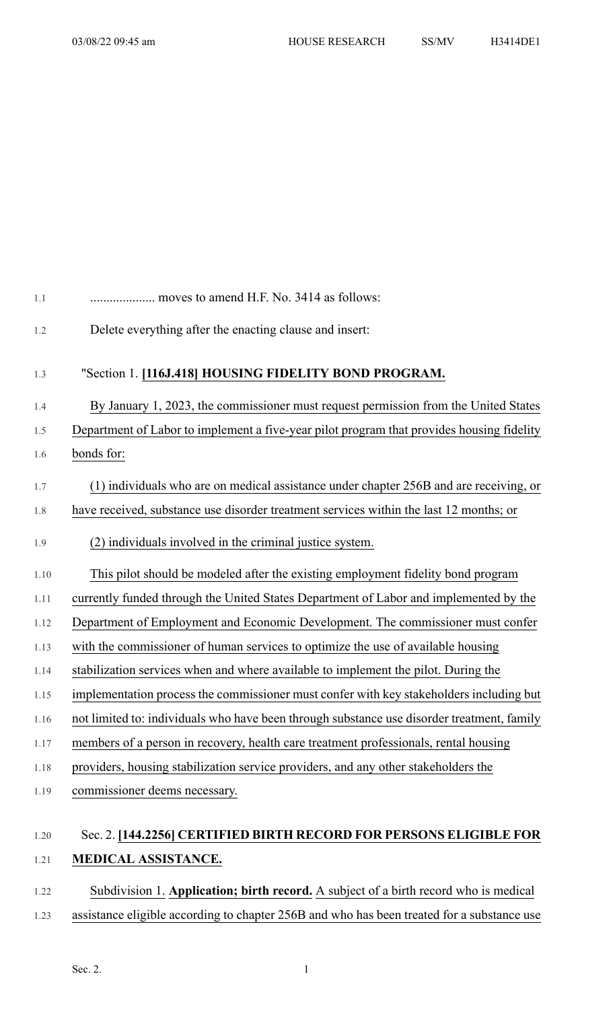| 1.1  | moves to amend H.F. No. 3414 as follows:                                                   |
|------|--------------------------------------------------------------------------------------------|
| 1.2  | Delete everything after the enacting clause and insert:                                    |
| 1.3  | "Section 1. [116J.418] HOUSING FIDELITY BOND PROGRAM.                                      |
| 1.4  | By January 1, 2023, the commissioner must request permission from the United States        |
| 1.5  | Department of Labor to implement a five-year pilot program that provides housing fidelity  |
| 1.6  | bonds for:                                                                                 |
| 1.7  | (1) individuals who are on medical assistance under chapter 256B and are receiving, or     |
| 1.8  | have received, substance use disorder treatment services within the last 12 months; or     |
| 1.9  | (2) individuals involved in the criminal justice system.                                   |
| 1.10 | This pilot should be modeled after the existing employment fidelity bond program           |
| 1.11 | currently funded through the United States Department of Labor and implemented by the      |
| 1.12 | Department of Employment and Economic Development. The commissioner must confer            |
| 1.13 | with the commissioner of human services to optimize the use of available housing           |
| 1.14 | stabilization services when and where available to implement the pilot. During the         |
| 1.15 | implementation process the commissioner must confer with key stakeholders including but    |
| 1.16 | not limited to: individuals who have been through substance use disorder treatment, family |
| 1.17 | members of a person in recovery, health care treatment professionals, rental housing       |
| 1.18 | providers, housing stabilization service providers, and any other stakeholders the         |
| 1.19 | commissioner deems necessary.                                                              |
| 1.20 | Sec. 2. [144.2256] CERTIFIED BIRTH RECORD FOR PERSONS ELIGIBLE FOR                         |
| 1.21 | MEDICAL ASSISTANCE.                                                                        |

# 1.22 Subdivision 1. **Application; birth record.** A subject of a birth record who is medical 1.23 assistance eligible according to chapter 256B and who has been treated for a substance use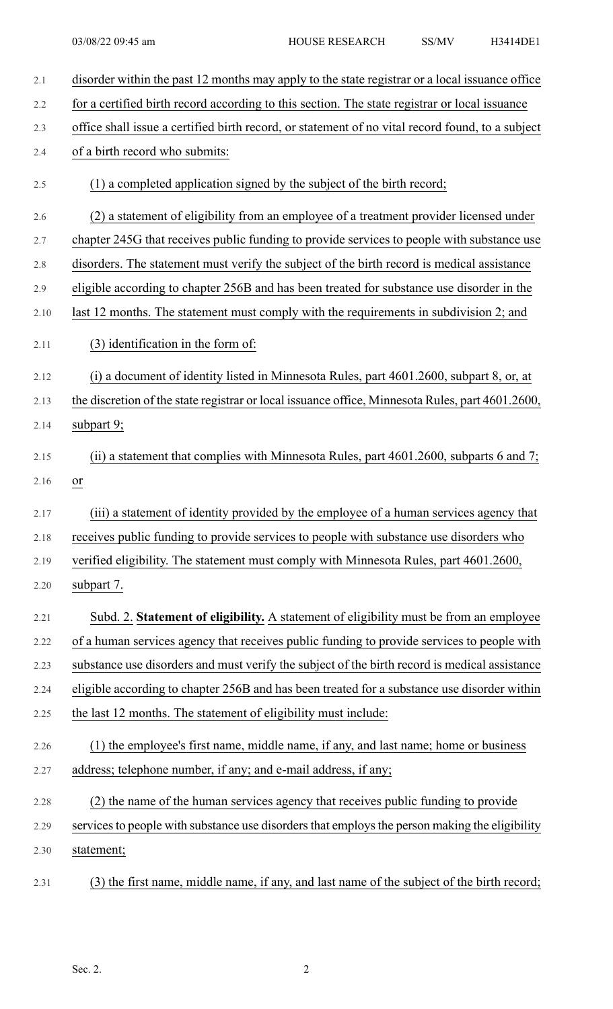| 2.1  | disorder within the past 12 months may apply to the state registrar or a local issuance office   |
|------|--------------------------------------------------------------------------------------------------|
| 2.2  | for a certified birth record according to this section. The state registrar or local issuance    |
| 2.3  | office shall issue a certified birth record, or statement of no vital record found, to a subject |
| 2.4  | of a birth record who submits:                                                                   |
| 2.5  | (1) a completed application signed by the subject of the birth record;                           |
| 2.6  | (2) a statement of eligibility from an employee of a treatment provider licensed under           |
| 2.7  | chapter 245G that receives public funding to provide services to people with substance use       |
| 2.8  | disorders. The statement must verify the subject of the birth record is medical assistance       |
| 2.9  | eligible according to chapter 256B and has been treated for substance use disorder in the        |
| 2.10 | last 12 months. The statement must comply with the requirements in subdivision 2; and            |
| 2.11 | (3) identification in the form of:                                                               |
| 2.12 | (i) a document of identity listed in Minnesota Rules, part 4601.2600, subpart 8, or, at          |
| 2.13 | the discretion of the state registrar or local issuance office, Minnesota Rules, part 4601.2600, |
| 2.14 | subpart 9;                                                                                       |
| 2.15 | (ii) a statement that complies with Minnesota Rules, part $4601.2600$ , subparts 6 and 7;        |
| 2.16 | <sub>or</sub>                                                                                    |
| 2.17 | (iii) a statement of identity provided by the employee of a human services agency that           |
| 2.18 | receives public funding to provide services to people with substance use disorders who           |
| 2.19 | verified eligibility. The statement must comply with Minnesota Rules, part 4601.2600,            |
| 2.20 | subpart 7.                                                                                       |
| 2.21 | Subd. 2. Statement of eligibility. A statement of eligibility must be from an employee           |
| 2.22 | of a human services agency that receives public funding to provide services to people with       |
| 2.23 | substance use disorders and must verify the subject of the birth record is medical assistance    |
| 2.24 | eligible according to chapter 256B and has been treated for a substance use disorder within      |
| 2.25 | the last 12 months. The statement of eligibility must include:                                   |
| 2.26 | (1) the employee's first name, middle name, if any, and last name; home or business              |
| 2.27 | address; telephone number, if any; and e-mail address, if any;                                   |
| 2.28 | (2) the name of the human services agency that receives public funding to provide                |
| 2.29 | services to people with substance use disorders that employs the person making the eligibility   |
| 2.30 | statement;                                                                                       |
| 2.31 | (3) the first name, middle name, if any, and last name of the subject of the birth record;       |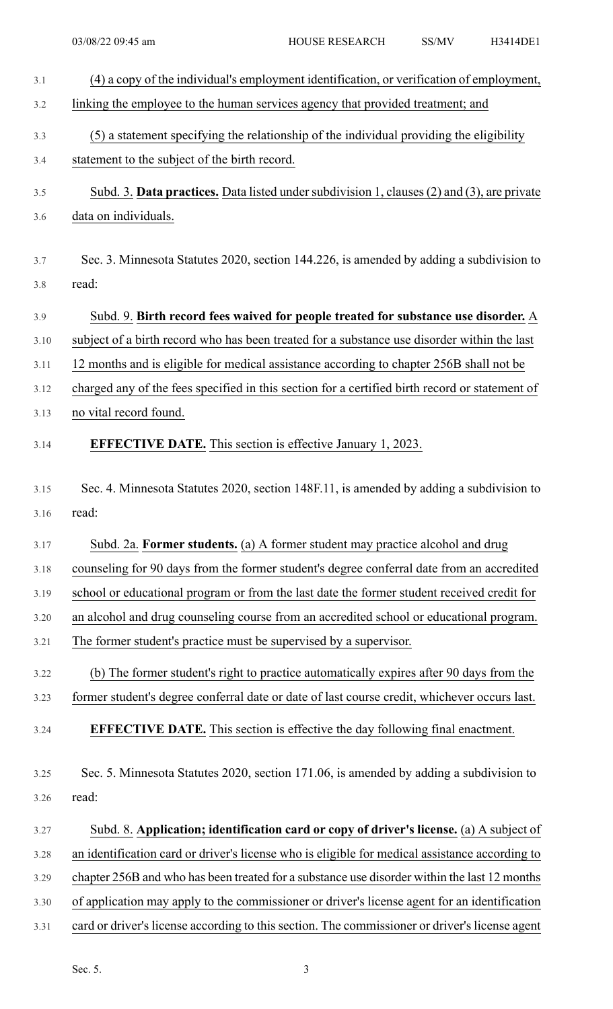| 3.1  | (4) a copy of the individual's employment identification, or verification of employment,       |
|------|------------------------------------------------------------------------------------------------|
| 3.2  | linking the employee to the human services agency that provided treatment; and                 |
| 3.3  | (5) a statement specifying the relationship of the individual providing the eligibility        |
| 3.4  | statement to the subject of the birth record.                                                  |
|      |                                                                                                |
| 3.5  | Subd. 3. Data practices. Data listed under subdivision 1, clauses (2) and (3), are private     |
| 3.6  | data on individuals.                                                                           |
| 3.7  | Sec. 3. Minnesota Statutes 2020, section 144.226, is amended by adding a subdivision to        |
| 3.8  | read:                                                                                          |
|      |                                                                                                |
| 3.9  | Subd. 9. Birth record fees waived for people treated for substance use disorder. A             |
| 3.10 | subject of a birth record who has been treated for a substance use disorder within the last    |
| 3.11 | 12 months and is eligible for medical assistance according to chapter 256B shall not be        |
| 3.12 | charged any of the fees specified in this section for a certified birth record or statement of |
| 3.13 | no vital record found.                                                                         |
| 3.14 | <b>EFFECTIVE DATE.</b> This section is effective January 1, 2023.                              |
|      |                                                                                                |
| 3.15 | Sec. 4. Minnesota Statutes 2020, section 148F.11, is amended by adding a subdivision to        |
| 3.16 | read:                                                                                          |
| 3.17 | Subd. 2a. Former students. (a) A former student may practice alcohol and drug                  |
| 3.18 | counseling for 90 days from the former student's degree conferral date from an accredited      |
| 3.19 | school or educational program or from the last date the former student received credit for     |
| 3.20 | an alcohol and drug counseling course from an accredited school or educational program.        |
| 3.21 | The former student's practice must be supervised by a supervisor.                              |
| 3.22 | (b) The former student's right to practice automatically expires after 90 days from the        |
| 3.23 | former student's degree conferral date or date of last course credit, whichever occurs last.   |
| 3.24 | <b>EFFECTIVE DATE.</b> This section is effective the day following final enactment.            |
|      |                                                                                                |
| 3.25 | Sec. 5. Minnesota Statutes 2020, section 171.06, is amended by adding a subdivision to         |
| 3.26 | read:                                                                                          |
| 3.27 | Subd. 8. Application; identification card or copy of driver's license. (a) A subject of        |
| 3.28 | an identification card or driver's license who is eligible for medical assistance according to |
| 3.29 | chapter 256B and who has been treated for a substance use disorder within the last 12 months   |
| 3.30 | of application may apply to the commissioner or driver's license agent for an identification   |
| 3.31 | card or driver's license according to this section. The commissioner or driver's license agent |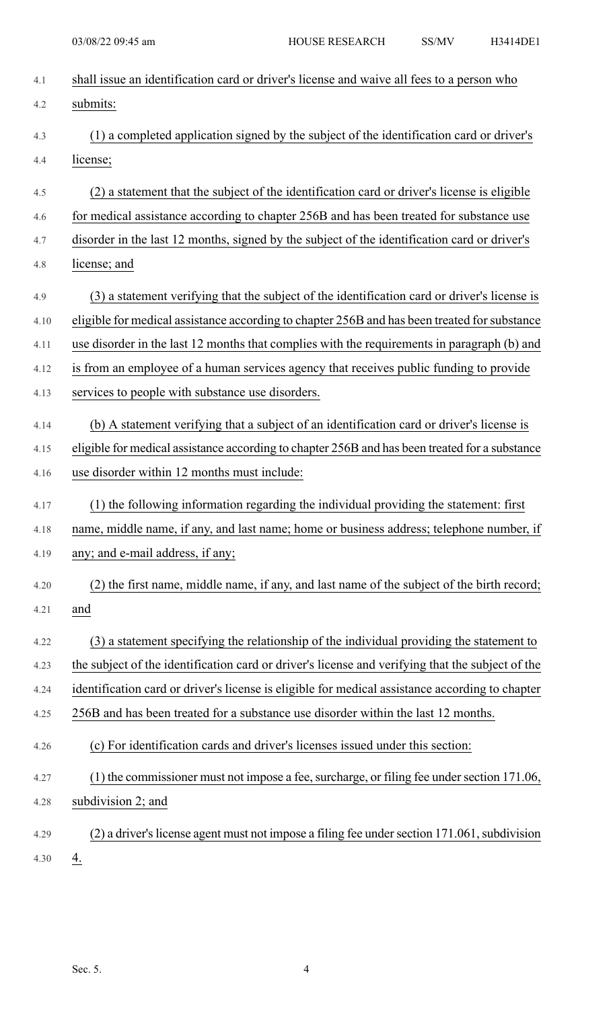| 4.1  | shall issue an identification card or driver's license and waive all fees to a person who        |
|------|--------------------------------------------------------------------------------------------------|
| 4.2  | submits:                                                                                         |
| 4.3  | (1) a completed application signed by the subject of the identification card or driver's         |
| 4.4  | license;                                                                                         |
| 4.5  | (2) a statement that the subject of the identification card or driver's license is eligible      |
| 4.6  | for medical assistance according to chapter 256B and has been treated for substance use          |
| 4.7  | disorder in the last 12 months, signed by the subject of the identification card or driver's     |
| 4.8  | license; and                                                                                     |
| 4.9  | (3) a statement verifying that the subject of the identification card or driver's license is     |
| 4.10 | eligible for medical assistance according to chapter 256B and has been treated for substance     |
| 4.11 | use disorder in the last 12 months that complies with the requirements in paragraph (b) and      |
| 4.12 | is from an employee of a human services agency that receives public funding to provide           |
| 4.13 | services to people with substance use disorders.                                                 |
| 4.14 | (b) A statement verifying that a subject of an identification card or driver's license is        |
| 4.15 | eligible for medical assistance according to chapter 256B and has been treated for a substance   |
| 4.16 | use disorder within 12 months must include:                                                      |
| 4.17 | (1) the following information regarding the individual providing the statement: first            |
| 4.18 | name, middle name, if any, and last name; home or business address; telephone number, if         |
| 4.19 | any; and e-mail address, if any;                                                                 |
| 4.20 | (2) the first name, middle name, if any, and last name of the subject of the birth record;       |
| 4.21 | and                                                                                              |
| 4.22 | (3) a statement specifying the relationship of the individual providing the statement to         |
| 4.23 | the subject of the identification card or driver's license and verifying that the subject of the |
| 4.24 | identification card or driver's license is eligible for medical assistance according to chapter  |
| 4.25 | 256B and has been treated for a substance use disorder within the last 12 months.                |
| 4.26 | (c) For identification cards and driver's licenses issued under this section:                    |
| 4.27 | (1) the commissioner must not impose a fee, surcharge, or filing fee under section 171.06,       |
| 4.28 | subdivision 2; and                                                                               |
| 4.29 | (2) a driver's license agent must not impose a filing fee under section 171.061, subdivision     |
| 4.30 | 4.                                                                                               |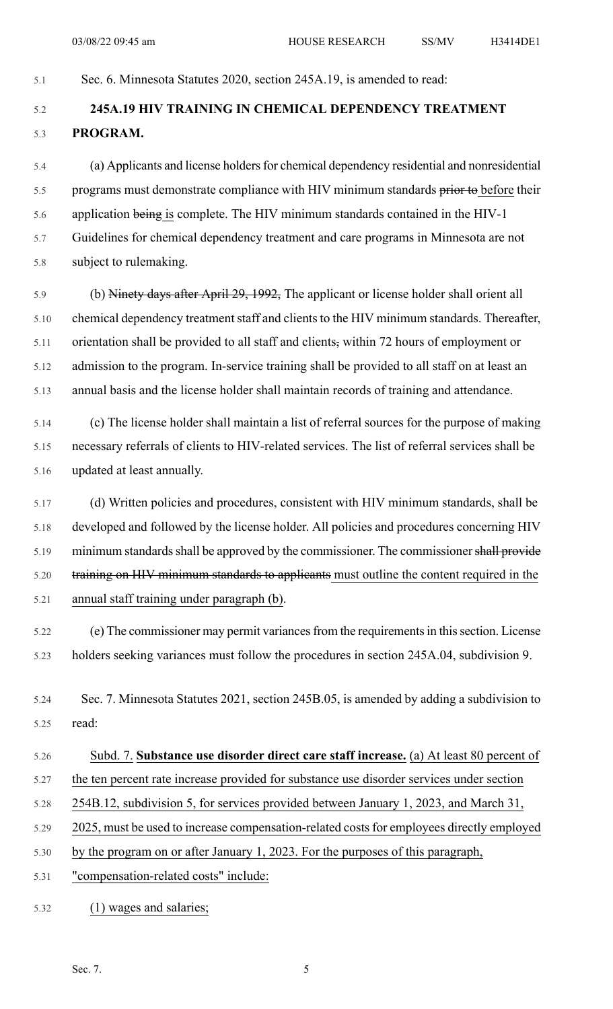5.1 Sec. 6. Minnesota Statutes 2020, section 245A.19, is amended to read:

# 5.2 **245A.19 HIV TRAINING IN CHEMICAL DEPENDENCY TREATMENT** 5.3 **PROGRAM.**

5.4 (a) Applicants and license holdersfor chemical dependency residential and nonresidential 5.5 programs must demonstrate compliance with HIV minimum standards prior to before their 5.6 application being is complete. The HIV minimum standards contained in the HIV-1 5.7 Guidelines for chemical dependency treatment and care programs in Minnesota are not 5.8 subject to rulemaking.

5.9 (b) Ninety days after April 29, 1992, The applicant or license holder shall orient all 5.10 chemical dependency treatment staff and clients to the HIV minimum standards. Thereafter, 5.11 orientation shall be provided to all staff and clients, within 72 hours of employment or 5.12 admission to the program. In-service training shall be provided to all staff on at least an 5.13 annual basis and the license holder shall maintain records of training and attendance.

5.14 (c) The license holder shall maintain a list of referral sources for the purpose of making 5.15 necessary referrals of clients to HIV-related services. The list of referral services shall be 5.16 updated at least annually.

5.17 (d) Written policies and procedures, consistent with HIV minimum standards, shall be 5.18 developed and followed by the license holder. All policies and procedures concerning HIV 5.19 minimum standards shall be approved by the commissioner. The commissioner shall provide 5.20 training on HIV minimum standards to applicants must outline the content required in the 5.21 annual staff training under paragraph (b).

5.22 (e) The commissioner may permit variancesfrom the requirementsin thissection. License 5.23 holders seeking variances must follow the procedures in section 245A.04, subdivision 9.

5.24 Sec. 7. Minnesota Statutes 2021, section 245B.05, is amended by adding a subdivision to 5.25 read:

- 5.26 Subd. 7. **Substance use disorder direct care staff increase.** (a) At least 80 percent of
- 5.27 the ten percent rate increase provided for substance use disorder services under section
- 5.28 254B.12, subdivision 5, for services provided between January 1, 2023, and March 31,
- 5.29 2025, must be used to increase compensation-related costs for employees directly employed
- 5.30 by the program on or after January 1, 2023. For the purposes of this paragraph,
- 5.31 "compensation-related costs" include:
- 5.32 (1) wages and salaries;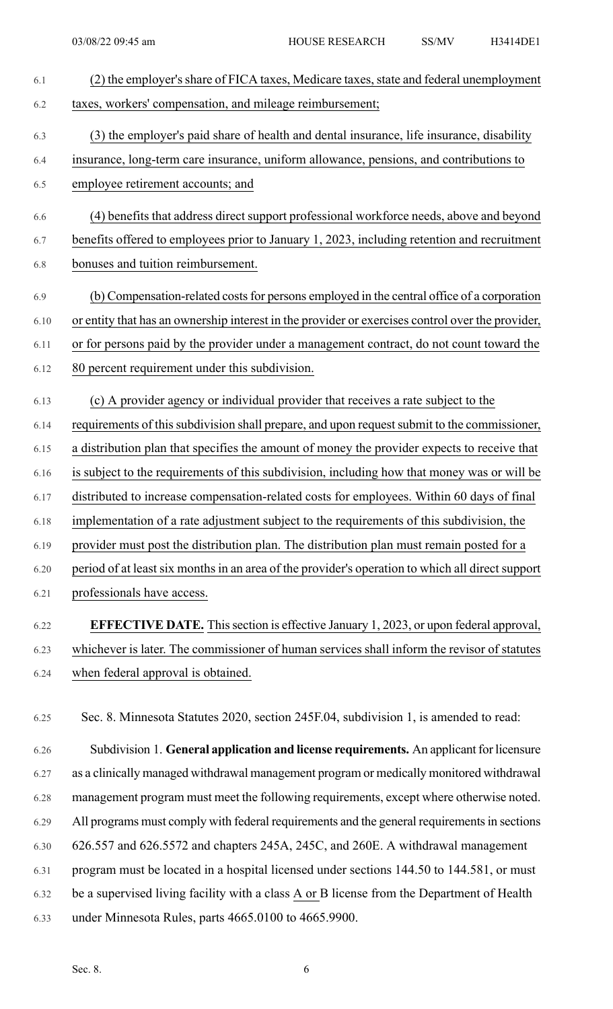| 6.1  | (2) the employer's share of FICA taxes, Medicare taxes, state and federal unemployment           |
|------|--------------------------------------------------------------------------------------------------|
| 6.2  | taxes, workers' compensation, and mileage reimbursement;                                         |
| 6.3  | (3) the employer's paid share of health and dental insurance, life insurance, disability         |
| 6.4  | insurance, long-term care insurance, uniform allowance, pensions, and contributions to           |
| 6.5  | employee retirement accounts; and                                                                |
| 6.6  | (4) benefits that address direct support professional workforce needs, above and beyond          |
| 6.7  | benefits offered to employees prior to January 1, 2023, including retention and recruitment      |
| 6.8  | bonuses and tuition reimbursement.                                                               |
| 6.9  | (b) Compensation-related costs for persons employed in the central office of a corporation       |
| 6.10 | or entity that has an ownership interest in the provider or exercises control over the provider, |
| 6.11 | or for persons paid by the provider under a management contract, do not count toward the         |
| 6.12 | 80 percent requirement under this subdivision.                                                   |
|      |                                                                                                  |
| 6.13 | (c) A provider agency or individual provider that receives a rate subject to the                 |
| 6.14 | requirements of this subdivision shall prepare, and upon request submit to the commissioner,     |
| 6.15 | a distribution plan that specifies the amount of money the provider expects to receive that      |
| 6.16 | is subject to the requirements of this subdivision, including how that money was or will be      |
| 6.17 | distributed to increase compensation-related costs for employees. Within 60 days of final        |
| 6.18 | implementation of a rate adjustment subject to the requirements of this subdivision, the         |
| 6.19 | provider must post the distribution plan. The distribution plan must remain posted for a         |
| 6.20 | period of at least six months in an area of the provider's operation to which all direct support |
| 6.21 | professionals have access.                                                                       |
| 6.22 | <b>EFFECTIVE DATE.</b> This section is effective January 1, 2023, or upon federal approval,      |
| 6.23 | whichever is later. The commissioner of human services shall inform the revisor of statutes      |
| 6.24 | when federal approval is obtained.                                                               |

6.25 Sec. 8. Minnesota Statutes 2020, section 245F.04, subdivision 1, is amended to read:

6.26 Subdivision 1. **General application and license requirements.** An applicant for licensure 6.27 as a clinically managed withdrawal management program or medically monitored withdrawal 6.28 management program must meet the following requirements, except where otherwise noted. 6.29 All programs must comply with federal requirements and the general requirements in sections 6.30 626.557 and 626.5572 and chapters 245A, 245C, and 260E. A withdrawal management 6.31 program must be located in a hospital licensed under sections 144.50 to 144.581, or must 6.32 be a supervised living facility with a class A or B license from the Department of Health 6.33 under Minnesota Rules, parts 4665.0100 to 4665.9900.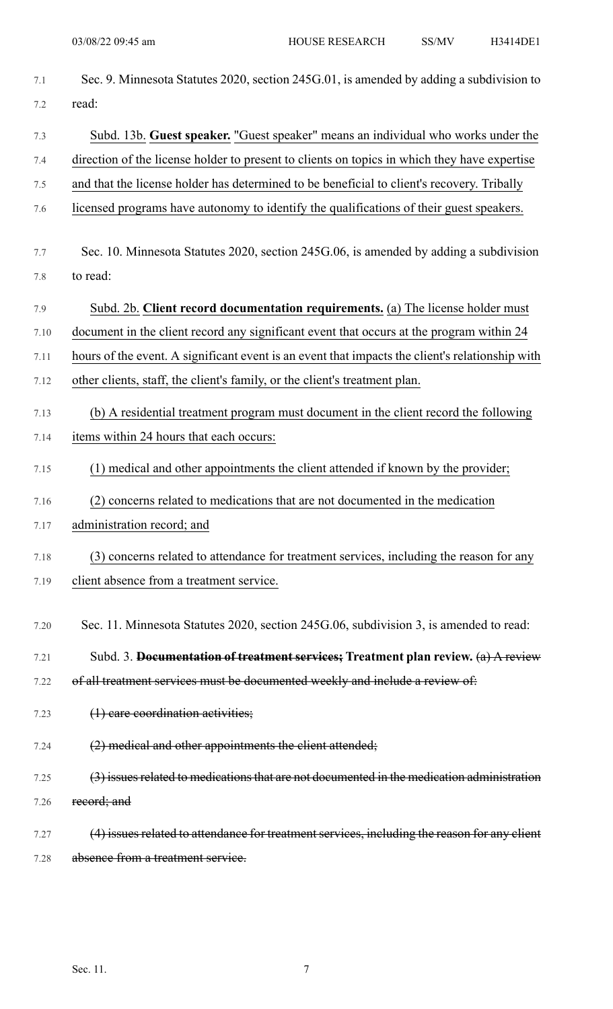| 7.1  | Sec. 9. Minnesota Statutes 2020, section 245G.01, is amended by adding a subdivision to         |
|------|-------------------------------------------------------------------------------------------------|
| 7.2  | read:                                                                                           |
| 7.3  | Subd. 13b. Guest speaker. "Guest speaker" means an individual who works under the               |
| 7.4  | direction of the license holder to present to clients on topics in which they have expertise    |
| 7.5  | and that the license holder has determined to be beneficial to client's recovery. Tribally      |
| 7.6  | licensed programs have autonomy to identify the qualifications of their guest speakers.         |
| 7.7  | Sec. 10. Minnesota Statutes 2020, section 245G.06, is amended by adding a subdivision           |
| 7.8  | to read:                                                                                        |
| 7.9  | Subd. 2b. Client record documentation requirements. (a) The license holder must                 |
| 7.10 | document in the client record any significant event that occurs at the program within 24        |
| 7.11 | hours of the event. A significant event is an event that impacts the client's relationship with |
| 7.12 | other clients, staff, the client's family, or the client's treatment plan.                      |
| 7.13 | (b) A residential treatment program must document in the client record the following            |
| 7.14 | items within 24 hours that each occurs:                                                         |
| 7.15 | (1) medical and other appointments the client attended if known by the provider;                |
| 7.16 | (2) concerns related to medications that are not documented in the medication                   |
| 7.17 | administration record; and                                                                      |
| 7.18 | (3) concerns related to attendance for treatment services, including the reason for any         |
| 7.19 | client absence from a treatment service.                                                        |
| 7.20 | Sec. 11. Minnesota Statutes 2020, section 245G.06, subdivision 3, is amended to read:           |
| 7.21 | Subd. 3. Documentation of treatment services; Treatment plan review. (a) A review               |
| 7.22 | of all treatment services must be documented weekly and include a review of:                    |
| 7.23 | $(1)$ care coordination activities;                                                             |
| 7.24 | (2) medical and other appointments the client attended;                                         |
| 7.25 | (3) issues related to medications that are not documented in the medication administration      |
| 7.26 | record; and                                                                                     |
| 7.27 | (4) issues related to attendance for treatment services, including the reason for any elient    |
| 7.28 | absence from a treatment service.                                                               |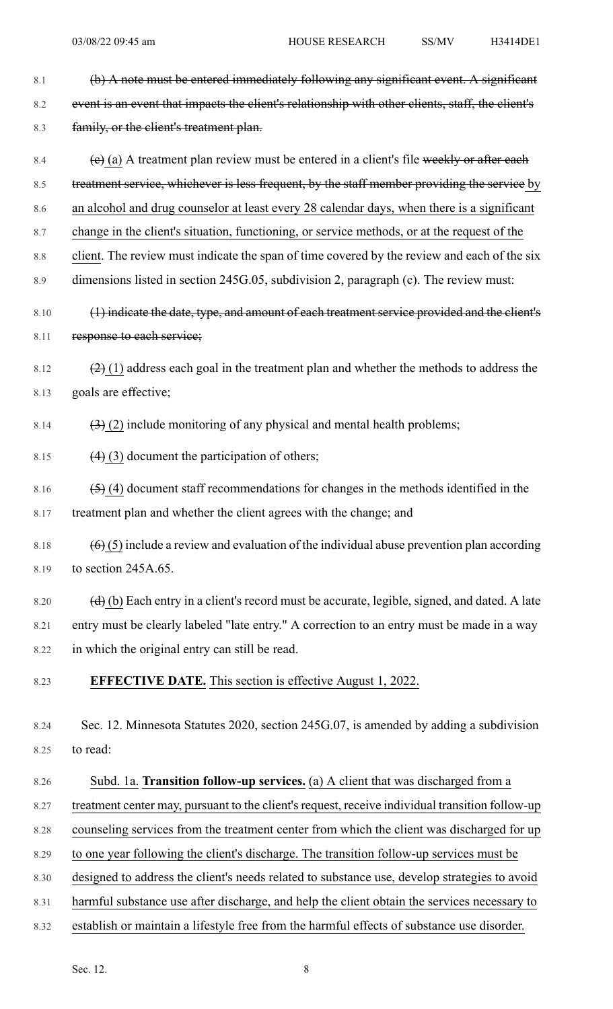| 8.1     | (b) A note must be entered immediately following any significant event. A significant                               |
|---------|---------------------------------------------------------------------------------------------------------------------|
| 8.2     | event is an event that impacts the client's relationship with other clients, staff, the client's                    |
| 8.3     | family, or the client's treatment plan.                                                                             |
| 8.4     | $(e)$ (a) A treatment plan review must be entered in a client's file weekly or after each                           |
| 8.5     | treatment service, whichever is less frequent, by the staff member providing the service by                         |
| 8.6     | an alcohol and drug counselor at least every 28 calendar days, when there is a significant                          |
| 8.7     | change in the client's situation, functioning, or service methods, or at the request of the                         |
| $8.8\,$ | client. The review must indicate the span of time covered by the review and each of the six                         |
| 8.9     | dimensions listed in section 245G.05, subdivision 2, paragraph (c). The review must:                                |
| 8.10    | (1) indicate the date, type, and amount of each treatment service provided and the client's                         |
| 8.11    | response to each service;                                                                                           |
| 8.12    | $(2)$ (1) address each goal in the treatment plan and whether the methods to address the                            |
| 8.13    | goals are effective;                                                                                                |
| 8.14    | $\left(\frac{3}{2}\right)$ (2) include monitoring of any physical and mental health problems;                       |
| 8.15    | $(4)$ (3) document the participation of others;                                                                     |
| 8.16    | $(5)$ (4) document staff recommendations for changes in the methods identified in the                               |
| 8.17    | treatment plan and whether the client agrees with the change; and                                                   |
| 8.18    | $(6)$ (5) include a review and evaluation of the individual abuse prevention plan according                         |
| 8.19    | to section 245A.65.                                                                                                 |
| 8.20    | $\left(\frac{d}{d}\right)$ (b) Each entry in a client's record must be accurate, legible, signed, and dated. A late |
| 8.21    | entry must be clearly labeled "late entry." A correction to an entry must be made in a way                          |
| 8.22    | in which the original entry can still be read.                                                                      |
| 8.23    | <b>EFFECTIVE DATE.</b> This section is effective August 1, 2022.                                                    |
| 8.24    | Sec. 12. Minnesota Statutes 2020, section 245G.07, is amended by adding a subdivision                               |
| 8.25    | to read:                                                                                                            |
| 8.26    | Subd. 1a. Transition follow-up services. (a) A client that was discharged from a                                    |
| 8.27    | treatment center may, pursuant to the client's request, receive individual transition follow-up                     |
| 8.28    | counseling services from the treatment center from which the client was discharged for up                           |
| 8.29    | to one year following the client's discharge. The transition follow-up services must be                             |
| 8.30    | designed to address the client's needs related to substance use, develop strategies to avoid                        |
| 8.31    | harmful substance use after discharge, and help the client obtain the services necessary to                         |
| 8.32    | establish or maintain a lifestyle free from the harmful effects of substance use disorder.                          |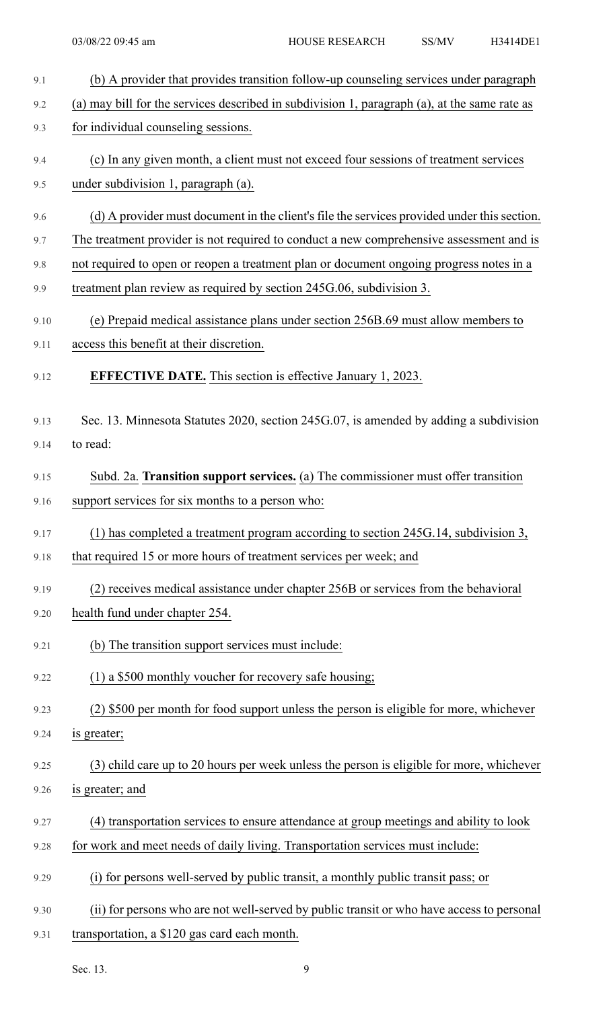| 9.1  | (b) A provider that provides transition follow-up counseling services under paragraph        |
|------|----------------------------------------------------------------------------------------------|
| 9.2  | (a) may bill for the services described in subdivision 1, paragraph (a), at the same rate as |
| 9.3  | for individual counseling sessions.                                                          |
| 9.4  | (c) In any given month, a client must not exceed four sessions of treatment services         |
| 9.5  | under subdivision 1, paragraph (a).                                                          |
| 9.6  | (d) A provider must document in the client's file the services provided under this section.  |
| 9.7  | The treatment provider is not required to conduct a new comprehensive assessment and is      |
| 9.8  | not required to open or reopen a treatment plan or document ongoing progress notes in a      |
| 9.9  | treatment plan review as required by section 245G.06, subdivision 3.                         |
| 9.10 | (e) Prepaid medical assistance plans under section 256B.69 must allow members to             |
| 9.11 | access this benefit at their discretion.                                                     |
| 9.12 | <b>EFFECTIVE DATE.</b> This section is effective January 1, 2023.                            |
| 9.13 | Sec. 13. Minnesota Statutes 2020, section 245G.07, is amended by adding a subdivision        |
| 9.14 | to read:                                                                                     |
| 9.15 | Subd. 2a. Transition support services. (a) The commissioner must offer transition            |
| 9.16 | support services for six months to a person who:                                             |
| 9.17 | (1) has completed a treatment program according to section 245G.14, subdivision 3,           |
| 9.18 | that required 15 or more hours of treatment services per week; and                           |
| 9.19 | (2) receives medical assistance under chapter 256B or services from the behavioral           |
| 9.20 | health fund under chapter 254.                                                               |
| 9.21 | (b) The transition support services must include:                                            |
| 9.22 | (1) a \$500 monthly voucher for recovery safe housing;                                       |
| 9.23 | (2) \$500 per month for food support unless the person is eligible for more, whichever       |
| 9.24 | is greater;                                                                                  |
| 9.25 | (3) child care up to 20 hours per week unless the person is eligible for more, whichever     |
| 9.26 | is greater; and                                                                              |
| 9.27 | (4) transportation services to ensure attendance at group meetings and ability to look       |
| 9.28 | for work and meet needs of daily living. Transportation services must include:               |
| 9.29 | (i) for persons well-served by public transit, a monthly public transit pass; or             |
| 9.30 | (ii) for persons who are not well-served by public transit or who have access to personal    |
| 9.31 | transportation, a \$120 gas card each month.                                                 |

Sec. 13. 9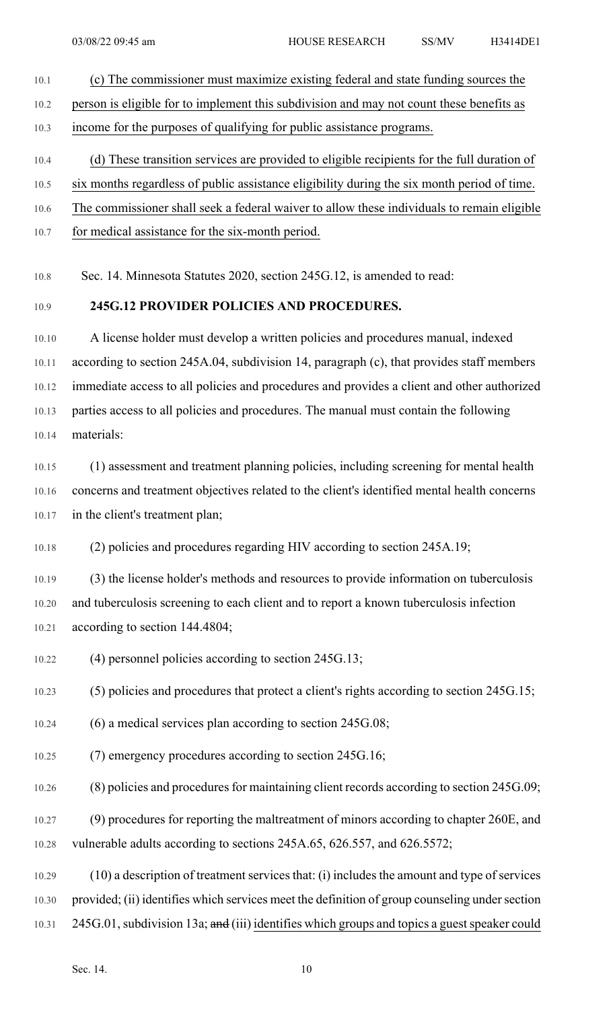- 10.1 (c) The commissioner must maximize existing federal and state funding sources the 10.2 person is eligible for to implement this subdivision and may not count these benefits as 10.3 income for the purposes of qualifying for public assistance programs. 10.4 (d) These transition services are provided to eligible recipients for the full duration of
- 10.5 six months regardless of public assistance eligibility during the six month period of time.
- 10.6 The commissioner shall seek a federal waiver to allow these individuals to remain eligible
- 10.7 for medical assistance for the six-month period.

10.8 Sec. 14. Minnesota Statutes 2020, section 245G.12, is amended to read:

#### 10.9 **245G.12 PROVIDER POLICIES AND PROCEDURES.**

10.10 A license holder must develop a written policies and procedures manual, indexed 10.11 according to section 245A.04, subdivision 14, paragraph (c), that provides staff members 10.12 immediate access to all policies and procedures and provides a client and other authorized 10.13 parties access to all policies and procedures. The manual must contain the following 10.14 materials:

10.15 (1) assessment and treatment planning policies, including screening for mental health 10.16 concerns and treatment objectives related to the client's identified mental health concerns 10.17 in the client's treatment plan;

10.18 (2) policies and procedures regarding HIV according to section 245A.19;

10.19 (3) the license holder's methods and resources to provide information on tuberculosis 10.20 and tuberculosis screening to each client and to report a known tuberculosis infection 10.21 according to section 144.4804;

10.22 (4) personnel policies according to section 245G.13;

10.23 (5) policies and procedures that protect a client's rights according to section 245G.15;

- 10.24 (6) a medical services plan according to section 245G.08;
- 10.25 (7) emergency procedures according to section 245G.16;
- $10.26$  (8) policies and procedures for maintaining client records according to section 245G.09;

10.27 (9) procedures for reporting the maltreatment of minors according to chapter 260E, and 10.28 vulnerable adults according to sections 245A.65, 626.557, and 626.5572;

10.29 (10) a description of treatment services that: (i) includes the amount and type of services 10.30 provided; (ii) identifies which services meet the definition of group counseling under section 10.31 245G.01, subdivision 13a; and (iii) identifies which groups and topics a guest speaker could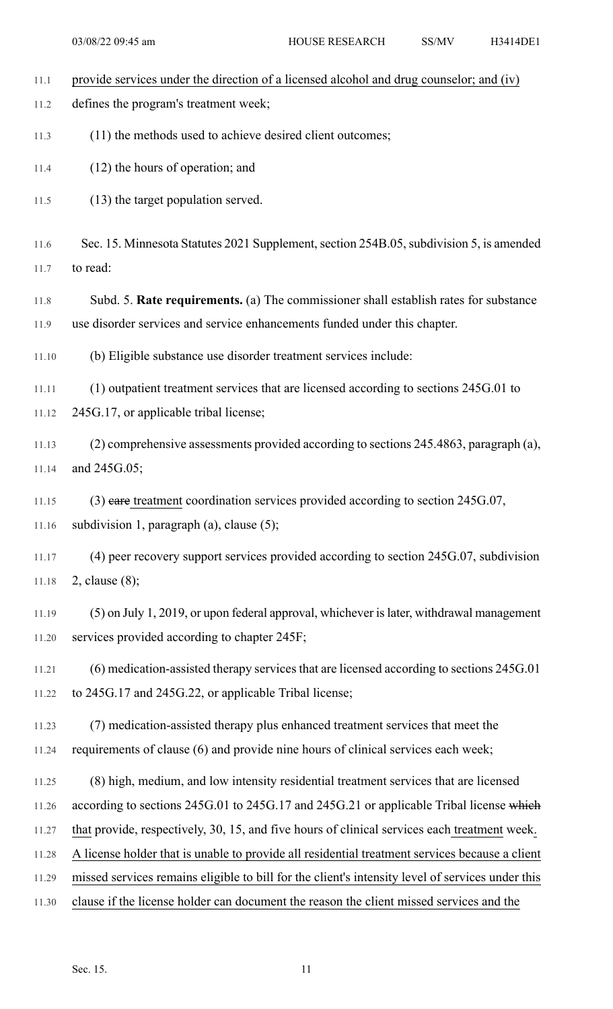| 11.1         | provide services under the direction of a licensed alcohol and drug counselor; and (iv)          |
|--------------|--------------------------------------------------------------------------------------------------|
| 11.2         | defines the program's treatment week;                                                            |
| 11.3         | (11) the methods used to achieve desired client outcomes;                                        |
| 11.4         | (12) the hours of operation; and                                                                 |
| 11.5         | (13) the target population served.                                                               |
|              | Sec. 15. Minnesota Statutes 2021 Supplement, section 254B.05, subdivision 5, is amended          |
| 11.6<br>11.7 | to read:                                                                                         |
|              |                                                                                                  |
| 11.8         | Subd. 5. Rate requirements. (a) The commissioner shall establish rates for substance             |
| 11.9         | use disorder services and service enhancements funded under this chapter.                        |
| 11.10        | (b) Eligible substance use disorder treatment services include:                                  |
| 11.11        | (1) outpatient treatment services that are licensed according to sections 245G.01 to             |
| 11.12        | 245G.17, or applicable tribal license;                                                           |
| 11.13        | (2) comprehensive assessments provided according to sections 245.4863, paragraph (a),            |
|              |                                                                                                  |
| 11.14        | and 245G.05;                                                                                     |
| 11.15        | $(3)$ eare treatment coordination services provided according to section 245G.07,                |
| 11.16        | subdivision 1, paragraph (a), clause (5);                                                        |
| 11.17        | (4) peer recovery support services provided according to section 245G.07, subdivision            |
| 11.18        | 2, clause $(8)$ ;                                                                                |
| 11.19        | (5) on July 1, 2019, or upon federal approval, whichever is later, withdrawal management         |
| 11.20        | services provided according to chapter 245F;                                                     |
|              |                                                                                                  |
| 11.21        | (6) medication-assisted therapy services that are licensed according to sections 245G.01         |
| 11.22        | to 245G.17 and 245G.22, or applicable Tribal license;                                            |
| 11.23        | (7) medication-assisted therapy plus enhanced treatment services that meet the                   |
| 11.24        | requirements of clause (6) and provide nine hours of clinical services each week;                |
| 11.25        | (8) high, medium, and low intensity residential treatment services that are licensed             |
| 11.26        | according to sections 245G.01 to 245G.17 and 245G.21 or applicable Tribal license which          |
| 11.27        | that provide, respectively, 30, 15, and five hours of clinical services each treatment week.     |
| 11.28        | A license holder that is unable to provide all residential treatment services because a client   |
| 11.29        | missed services remains eligible to bill for the client's intensity level of services under this |
| 11.30        | clause if the license holder can document the reason the client missed services and the          |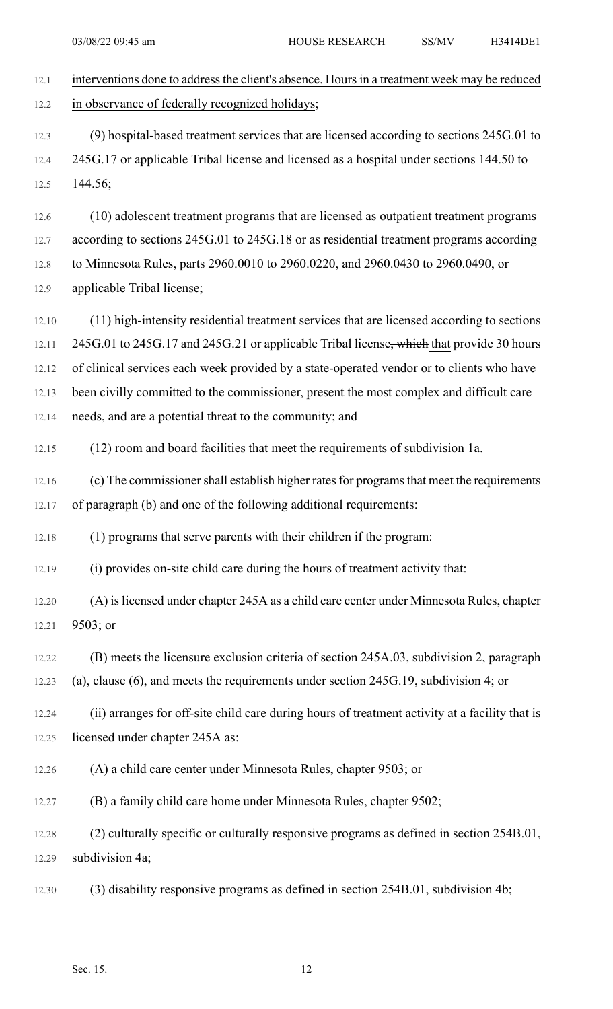| 12.1  | interventions done to address the client's absence. Hours in a treatment week may be reduced   |
|-------|------------------------------------------------------------------------------------------------|
| 12.2  | in observance of federally recognized holidays;                                                |
| 12.3  | (9) hospital-based treatment services that are licensed according to sections 245G.01 to       |
| 12.4  | 245G.17 or applicable Tribal license and licensed as a hospital under sections 144.50 to       |
| 12.5  | 144.56;                                                                                        |
| 12.6  | (10) adolescent treatment programs that are licensed as outpatient treatment programs          |
| 12.7  | according to sections 245G.01 to 245G.18 or as residential treatment programs according        |
| 12.8  | to Minnesota Rules, parts 2960.0010 to 2960.0220, and 2960.0430 to 2960.0490, or               |
| 12.9  | applicable Tribal license;                                                                     |
| 12.10 | (11) high-intensity residential treatment services that are licensed according to sections     |
| 12.11 | 245G.01 to 245G.17 and 245G.21 or applicable Tribal license, which that provide 30 hours       |
| 12.12 | of clinical services each week provided by a state-operated vendor or to clients who have      |
| 12.13 | been civilly committed to the commissioner, present the most complex and difficult care        |
| 12.14 | needs, and are a potential threat to the community; and                                        |
| 12.15 | (12) room and board facilities that meet the requirements of subdivision 1a.                   |
| 12.16 | (c) The commissioner shall establish higher rates for programs that meet the requirements      |
| 12.17 | of paragraph (b) and one of the following additional requirements:                             |
| 12.18 | (1) programs that serve parents with their children if the program:                            |
| 12.19 | (i) provides on-site child care during the hours of treatment activity that:                   |
| 12.20 | (A) is licensed under chapter 245A as a child care center under Minnesota Rules, chapter       |
| 12.21 | 9503; or                                                                                       |
| 12.22 | (B) meets the licensure exclusion criteria of section 245A.03, subdivision 2, paragraph        |
| 12.23 | (a), clause $(6)$ , and meets the requirements under section 245G.19, subdivision 4; or        |
| 12.24 | (ii) arranges for off-site child care during hours of treatment activity at a facility that is |
| 12.25 | licensed under chapter 245A as:                                                                |
| 12.26 | (A) a child care center under Minnesota Rules, chapter 9503; or                                |
| 12.27 | (B) a family child care home under Minnesota Rules, chapter 9502;                              |
| 12.28 | (2) culturally specific or culturally responsive programs as defined in section 254B.01,       |
| 12.29 | subdivision 4a;                                                                                |
| 12.30 | (3) disability responsive programs as defined in section 254B.01, subdivision 4b;              |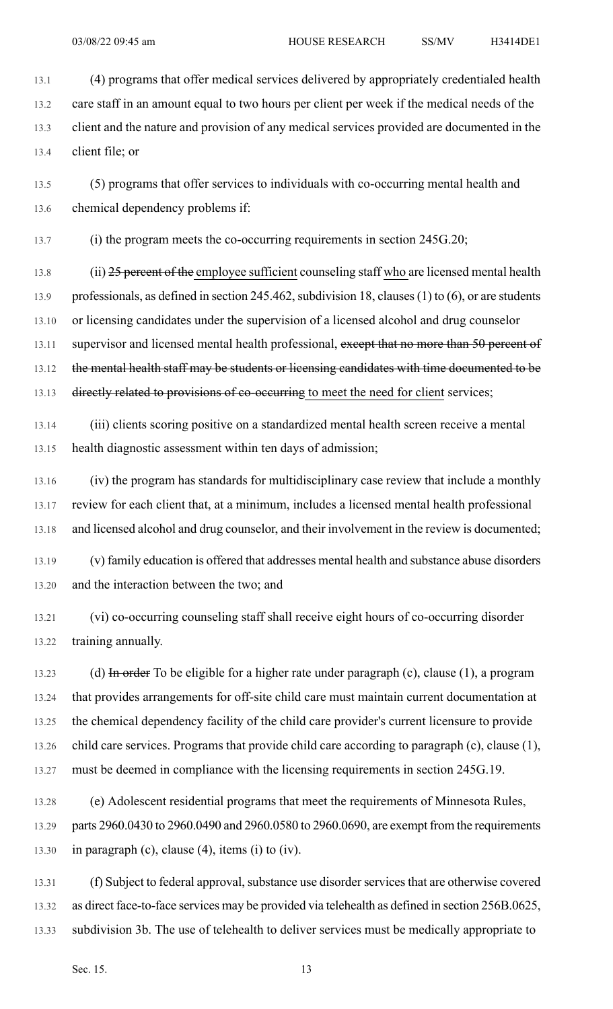13.1 (4) programs that offer medical services delivered by appropriately credentialed health 13.2 care staff in an amount equal to two hours per client per week if the medical needs of the 13.3 client and the nature and provision of any medical services provided are documented in the 13.4 client file; or

13.5 (5) programs that offer services to individuals with co-occurring mental health and 13.6 chemical dependency problems if:

13.7 (i) the program meets the co-occurring requirements in section 245G.20;

13.8 (ii) 25 percent of the employee sufficient counseling staff who are licensed mental health 13.9 professionals, as defined in section 245.462, subdivision 18, clauses (1) to (6), or are students 13.10 or licensing candidates under the supervision of a licensed alcohol and drug counselor 13.11 supervisor and licensed mental health professional, except that no more than 50 percent of 13.12 the mental health staff may be students or licensing candidates with time documented to be 13.13 directly related to provisions of co-occurring to meet the need for client services;

13.14 (iii) clients scoring positive on a standardized mental health screen receive a mental 13.15 health diagnostic assessment within ten days of admission;

13.16 (iv) the program has standards for multidisciplinary case review that include a monthly 13.17 review for each client that, at a minimum, includes a licensed mental health professional 13.18 and licensed alcohol and drug counselor, and their involvement in the review is documented;

13.19 (v) family education is offered that addresses mental health and substance abuse disorders 13.20 and the interaction between the two; and

13.21 (vi) co-occurring counseling staff shall receive eight hours of co-occurring disorder 13.22 training annually.

13.23 (d) In order To be eligible for a higher rate under paragraph (c), clause (1), a program 13.24 that provides arrangements for off-site child care must maintain current documentation at 13.25 the chemical dependency facility of the child care provider's current licensure to provide 13.26 child care services. Programs that provide child care according to paragraph (c), clause (1), 13.27 must be deemed in compliance with the licensing requirements in section 245G.19.

13.28 (e) Adolescent residential programs that meet the requirements of Minnesota Rules, 13.29 parts 2960.0430 to 2960.0490 and 2960.0580 to 2960.0690, are exempt from the requirements 13.30 in paragraph (c), clause (4), items (i) to (iv).

13.31 (f) Subject to federal approval, substance use disorder services that are otherwise covered 13.32 as direct face-to-face services may be provided via telehealth as defined in section 256B.0625, 13.33 subdivision 3b. The use of telehealth to deliver services must be medically appropriate to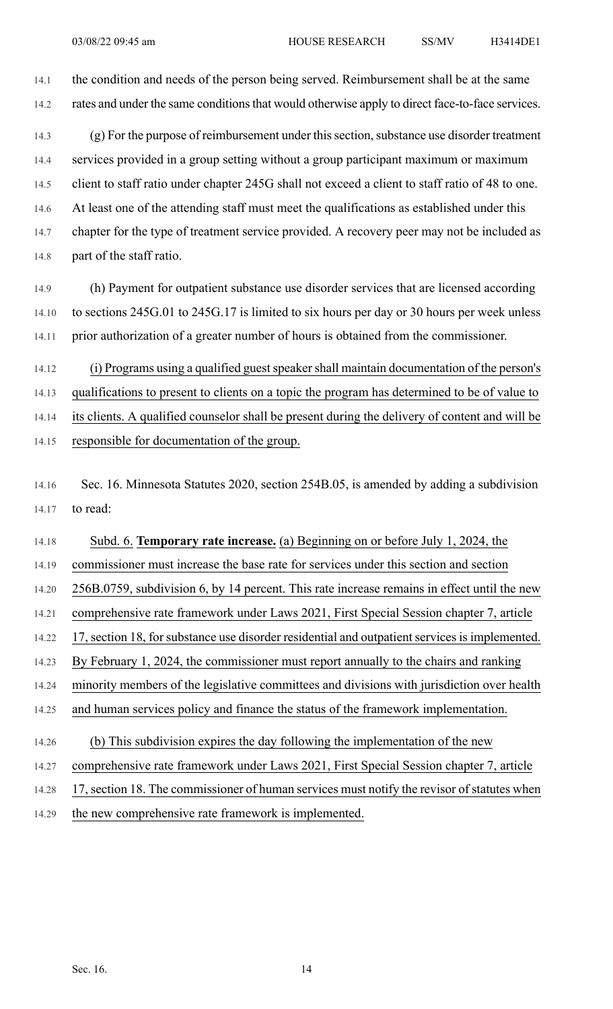14.1 the condition and needs of the person being served. Reimbursement shall be at the same 14.2 rates and under the same conditions that would otherwise apply to direct face-to-face services.

14.3 (g) For the purpose of reimbursement under this section, substance use disorder treatment 14.4 services provided in a group setting without a group participant maximum or maximum 14.5 client to staff ratio under chapter 245G shall not exceed a client to staff ratio of 48 to one. 14.6 At least one of the attending staff must meet the qualifications as established under this 14.7 chapter for the type of treatment service provided. A recovery peer may not be included as 14.8 part of the staff ratio.

14.9 (h) Payment for outpatient substance use disorder services that are licensed according 14.10 to sections 245G.01 to 245G.17 is limited to six hours per day or 30 hours per week unless 14.11 prior authorization of a greater number of hours is obtained from the commissioner.

14.12 (i) Programs using a qualified guest speaker shall maintain documentation of the person's 14.13 qualifications to present to clients on a topic the program has determined to be of value to 14.14 its clients. A qualified counselor shall be present during the delivery of content and will be 14.15 responsible for documentation of the group.

14.16 Sec. 16. Minnesota Statutes 2020, section 254B.05, is amended by adding a subdivision 14.17 to read:

14.18 Subd. 6. **Temporary rate increase.** (a) Beginning on or before July 1, 2024, the 14.19 commissioner must increase the base rate for services under this section and section 14.20 256B.0759, subdivision 6, by 14 percent. This rate increase remains in effect until the new 14.21 comprehensive rate framework under Laws 2021, First Special Session chapter 7, article 14.22 17, section 18, for substance use disorder residential and outpatient services is implemented. 14.23 By February 1, 2024, the commissioner must report annually to the chairs and ranking 14.24 minority members of the legislative committees and divisions with jurisdiction over health 14.25 and human services policy and finance the status of the framework implementation. 14.26 (b) This subdivision expires the day following the implementation of the new

- 14.27 comprehensive rate framework under Laws 2021, First Special Session chapter 7, article
- 14.28 17, section 18. The commissioner of human services must notify the revisor of statutes when
- 14.29 the new comprehensive rate framework is implemented.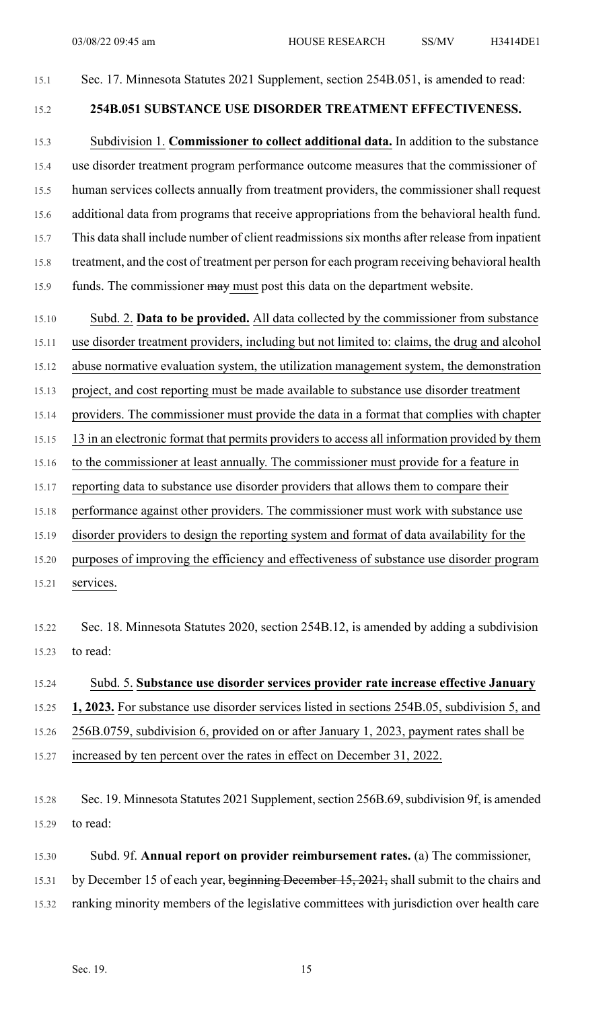#### 15.1 Sec. 17. Minnesota Statutes 2021 Supplement, section 254B.051, is amended to read:

### 15.2 **254B.051 SUBSTANCE USE DISORDER TREATMENT EFFECTIVENESS.**

15.3 Subdivision 1. **Commissioner to collect additional data.** In addition to the substance 15.4 use disorder treatment program performance outcome measures that the commissioner of 15.5 human services collects annually from treatment providers, the commissioner shall request 15.6 additional data from programs that receive appropriations from the behavioral health fund. 15.7 This data shall include number of client readmissionssix months after release from inpatient 15.8 treatment, and the cost of treatment per person for each program receiving behavioral health 15.9 funds. The commissioner may must post this data on the department website.

15.10 Subd. 2. **Data to be provided.** All data collected by the commissioner from substance

15.11 use disorder treatment providers, including but not limited to: claims, the drug and alcohol

15.12 abuse normative evaluation system, the utilization management system, the demonstration

15.13 project, and cost reporting must be made available to substance use disorder treatment

15.14 providers. The commissioner must provide the data in a format that complies with chapter

15.15 13 in an electronic format that permits providers to access all information provided by them

- 15.16 to the commissioner at least annually. The commissioner must provide for a feature in
- 15.17 reporting data to substance use disorder providers that allows them to compare their

15.18 performance against other providers. The commissioner must work with substance use

15.19 disorder providers to design the reporting system and format of data availability for the

15.20 purposes of improving the efficiency and effectiveness of substance use disorder program

15.21 services.

15.22 Sec. 18. Minnesota Statutes 2020, section 254B.12, is amended by adding a subdivision 15.23 to read:

### 15.24 Subd. 5. **Substance use disorder services provider rate increase effective January**

15.25 **1, 2023.** For substance use disorder services listed in sections 254B.05, subdivision 5, and

15.26 256B.0759, subdivision 6, provided on or after January 1, 2023, payment rates shall be

15.27 increased by ten percent over the rates in effect on December 31, 2022.

15.28 Sec. 19. Minnesota Statutes 2021 Supplement, section 256B.69, subdivision 9f, is amended 15.29 to read:

15.30 Subd. 9f. **Annual report on provider reimbursement rates.** (a) The commissioner,

15.31 by December 15 of each year, beginning December 15, 2021, shall submit to the chairs and

15.32 ranking minority members of the legislative committees with jurisdiction over health care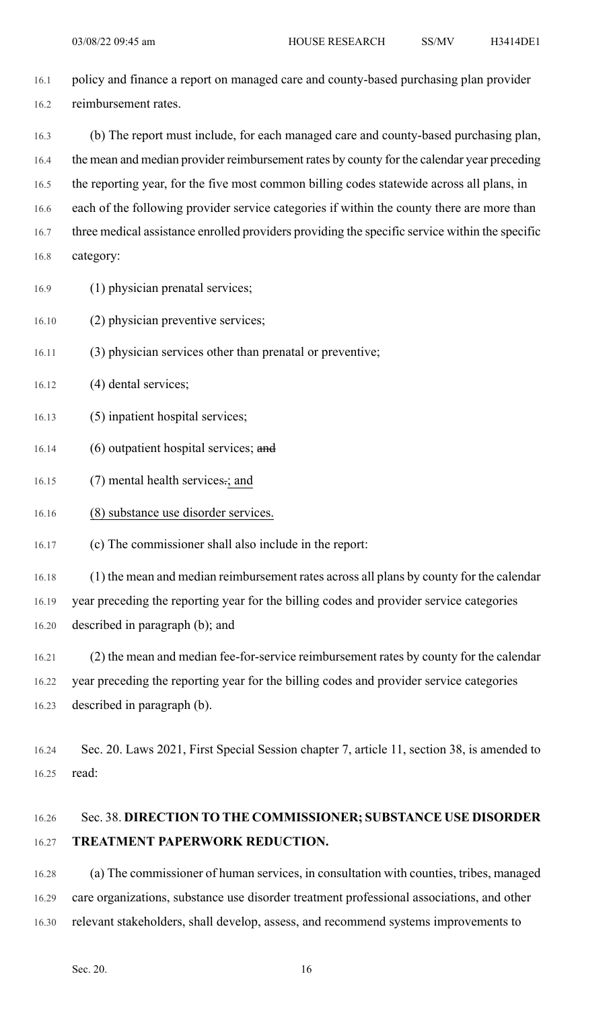- 16.1 policy and finance a report on managed care and county-based purchasing plan provider 16.2 reimbursement rates.
- 16.3 (b) The report must include, for each managed care and county-based purchasing plan, 16.4 the mean and median provider reimbursement rates by county for the calendar year preceding 16.5 the reporting year, for the five most common billing codes statewide across all plans, in 16.6 each of the following provider service categories if within the county there are more than 16.7 three medical assistance enrolled providers providing the specific service within the specific 16.8 category:
- 16.9 (1) physician prenatal services;
- 16.10 (2) physician preventive services;
- 16.11 (3) physician services other than prenatal or preventive;
- 16.12 (4) dental services;
- 16.13 (5) inpatient hospital services;
- 16.14 (6) outpatient hospital services; and
- 16.15 (7) mental health services-; and
- 16.16 (8) substance use disorder services.
- 16.17 (c) The commissioner shall also include in the report:

16.18 (1) the mean and median reimbursement rates across all plans by county for the calendar 16.19 year preceding the reporting year for the billing codes and provider service categories 16.20 described in paragraph (b); and

- 16.21 (2) the mean and median fee-for-service reimbursement rates by county for the calendar 16.22 year preceding the reporting year for the billing codes and provider service categories 16.23 described in paragraph (b).
- 16.24 Sec. 20. Laws 2021, First Special Session chapter 7, article 11, section 38, is amended to 16.25 read:

# 16.26 Sec. 38. **DIRECTION TO THE COMMISSIONER; SUBSTANCE USE DISORDER** 16.27 **TREATMENT PAPERWORK REDUCTION.**

16.28 (a) The commissioner of human services, in consultation with counties, tribes, managed 16.29 care organizations, substance use disorder treatment professional associations, and other 16.30 relevant stakeholders, shall develop, assess, and recommend systems improvements to